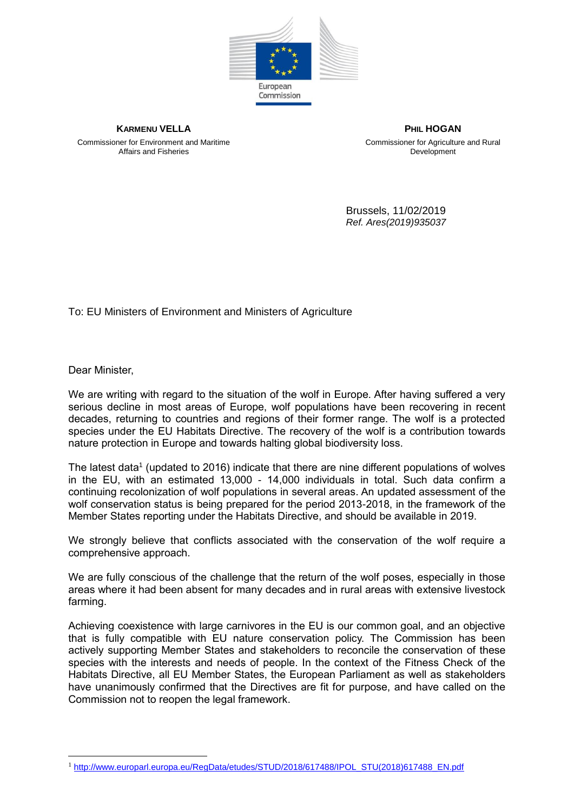

Commissioner for Environment and Maritime Affairs and Fisheries

**KARMENU VELLA PHIL HOGAN** Commissioner for Agriculture and Rural **Development** 

> Brussels, 11/02/2019 *Ref. Ares(2019)935037*

To: EU Ministers of Environment and Ministers of Agriculture

Dear Minister,

 $\overline{a}$ 

We are writing with regard to the situation of the wolf in Europe. After having suffered a very serious decline in most areas of Europe, wolf populations have been recovering in recent decades, returning to countries and regions of their former range. The wolf is a protected species under the EU Habitats Directive. The recovery of the wolf is a contribution towards nature protection in Europe and towards halting global biodiversity loss.

The latest data<sup>1</sup> (updated to 2016) indicate that there are nine different populations of wolves in the EU, with an estimated 13,000 - 14,000 individuals in total. Such data confirm a continuing recolonization of wolf populations in several areas. An updated assessment of the wolf conservation status is being prepared for the period 2013-2018, in the framework of the Member States reporting under the Habitats Directive, and should be available in 2019.

We strongly believe that conflicts associated with the conservation of the wolf require a comprehensive approach.

We are fully conscious of the challenge that the return of the wolf poses, especially in those areas where it had been absent for many decades and in rural areas with extensive livestock farming.

Achieving coexistence with large carnivores in the EU is our common goal, and an objective that is fully compatible with EU nature conservation policy. The Commission has been actively supporting Member States and stakeholders to reconcile the conservation of these species with the interests and needs of people. In the context of the Fitness Check of the Habitats Directive, all EU Member States, the European Parliament as well as stakeholders have unanimously confirmed that the Directives are fit for purpose, and have called on the Commission not to reopen the legal framework.

<sup>&</sup>lt;sup>1</sup> [http://www.europarl.europa.eu/RegData/etudes/STUD/2018/617488/IPOL\\_STU\(2018\)617488\\_EN.pdf](http://www.europarl.europa.eu/RegData/etudes/STUD/2018/617488/IPOL_STU(2018)617488_EN.pdf)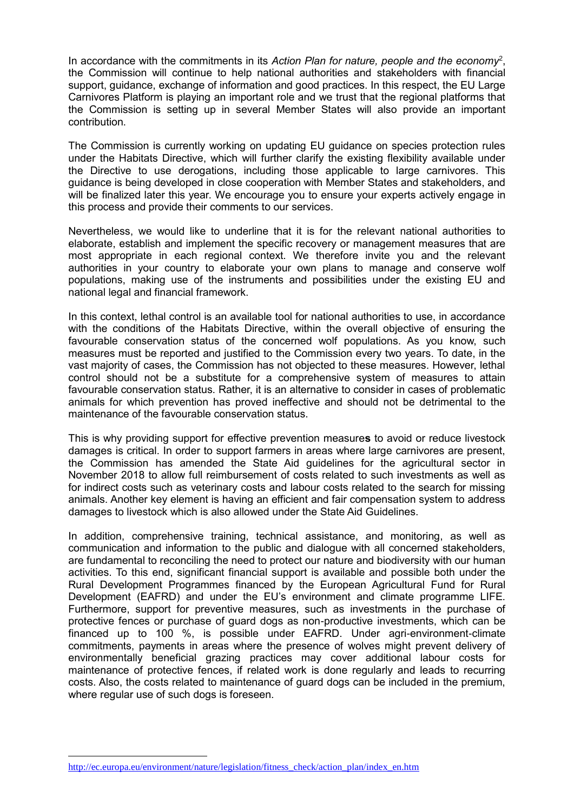In accordance with the commitments in its *Action Plan for nature, people and the economy*<sup>2</sup> , the Commission will continue to help national authorities and stakeholders with financial support, guidance, exchange of information and good practices. In this respect, the EU Large Carnivores Platform is playing an important role and we trust that the regional platforms that the Commission is setting up in several Member States will also provide an important contribution.

The Commission is currently working on updating EU guidance on species protection rules under the Habitats Directive, which will further clarify the existing flexibility available under the Directive to use derogations, including those applicable to large carnivores. This guidance is being developed in close cooperation with Member States and stakeholders, and will be finalized later this year. We encourage you to ensure your experts actively engage in this process and provide their comments to our services.

Nevertheless, we would like to underline that it is for the relevant national authorities to elaborate, establish and implement the specific recovery or management measures that are most appropriate in each regional context. We therefore invite you and the relevant authorities in your country to elaborate your own plans to manage and conserve wolf populations, making use of the instruments and possibilities under the existing EU and national legal and financial framework.

In this context, lethal control is an available tool for national authorities to use, in accordance with the conditions of the Habitats Directive, within the overall objective of ensuring the favourable conservation status of the concerned wolf populations. As you know, such measures must be reported and justified to the Commission every two years. To date, in the vast majority of cases, the Commission has not objected to these measures. However, lethal control should not be a substitute for a comprehensive system of measures to attain favourable conservation status. Rather, it is an alternative to consider in cases of problematic animals for which prevention has proved ineffective and should not be detrimental to the maintenance of the favourable conservation status.

This is why providing support for effective prevention measure**s** to avoid or reduce livestock damages is critical. In order to support farmers in areas where large carnivores are present, the Commission has amended the State Aid guidelines for the agricultural sector in November 2018 to allow full reimbursement of costs related to such investments as well as for indirect costs such as veterinary costs and labour costs related to the search for missing animals. Another key element is having an efficient and fair compensation system to address damages to livestock which is also allowed under the State Aid Guidelines.

In addition, comprehensive training, technical assistance, and monitoring, as well as communication and information to the public and dialogue with all concerned stakeholders, are fundamental to reconciling the need to protect our nature and biodiversity with our human activities. To this end, significant financial support is available and possible both under the Rural Development Programmes financed by the European Agricultural Fund for Rural Development (EAFRD) and under the EU's environment and climate programme LIFE. Furthermore, support for preventive measures, such as investments in the purchase of protective fences or purchase of guard dogs as non-productive investments, which can be financed up to 100 %, is possible under EAFRD. Under agri-environment-climate commitments, payments in areas where the presence of wolves might prevent delivery of environmentally beneficial grazing practices may cover additional labour costs for maintenance of protective fences, if related work is done regularly and leads to recurring costs. Also, the costs related to maintenance of guard dogs can be included in the premium, where regular use of such dogs is foreseen.

 $\overline{a}$ 

[http://ec.europa.eu/environment/nature/legislation/fitness\\_check/action\\_plan/index\\_en.htm](http://ec.europa.eu/environment/nature/legislation/fitness_check/action_plan/index_en.htm)